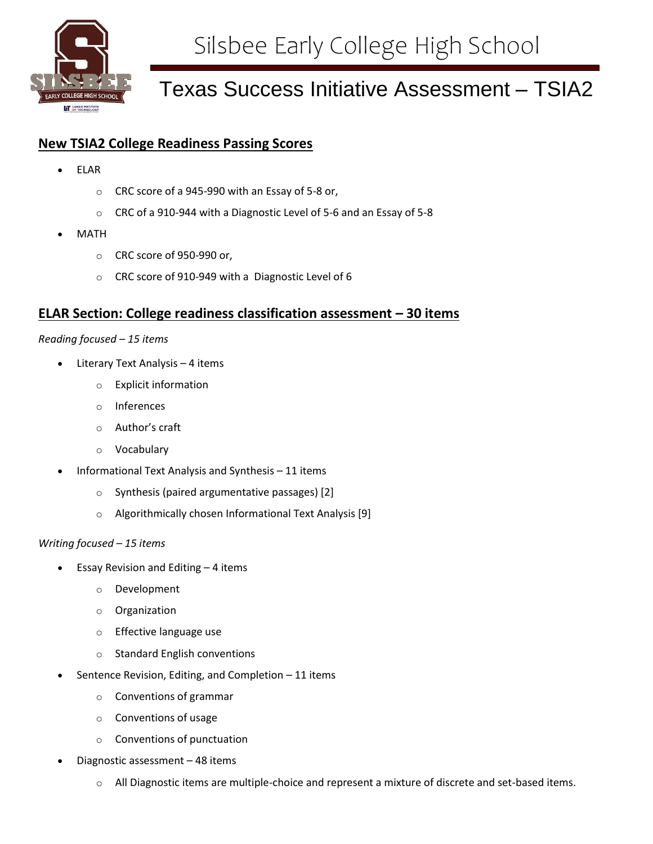

# Texas Success Initiative Assessment – TSIA2

# **New TSIA2 College Readiness Passing Scores**

- ELAR
	- o CRC score of a 945-990 with an Essay of 5-8 or,
	- o CRC of a 910-944 with a Diagnostic Level of 5-6 and an Essay of 5-8
- MATH
	- o CRC score of 950-990 or,
	- o CRC score of 910-949 with a Diagnostic Level of 6

# **ELAR Section: College readiness classification assessment – 30 items**

## *Reading focused – 15 items*

- Literary Text Analysis 4 items
	- o Explicit information
	- o Inferences
	- o Author's craft
	- o Vocabulary
- Informational Text Analysis and Synthesis 11 items
	- o Synthesis (paired argumentative passages) [2]
	- o Algorithmically chosen Informational Text Analysis [9]

## *Writing focused – 15 items*

- Essay Revision and Editing 4 items
	- o Development
	- o Organization
	- o Effective language use
	- o Standard English conventions
- Sentence Revision, Editing, and Completion 11 items
	- o Conventions of grammar
	- o Conventions of usage
	- o Conventions of punctuation
- Diagnostic assessment 48 items
	- o All Diagnostic items are multiple-choice and represent a mixture of discrete and set-based items.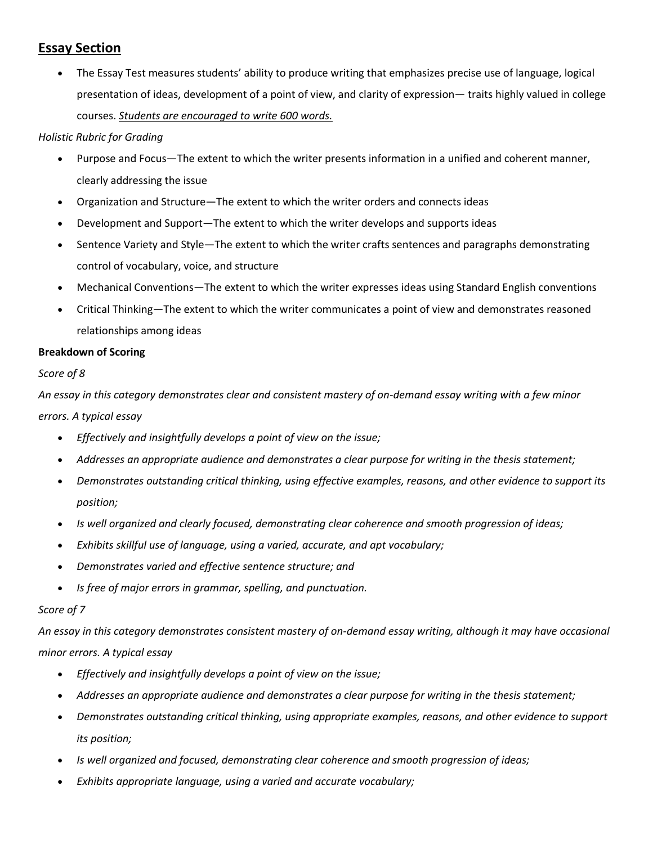# **Essay Section**

 The Essay Test measures students' ability to produce writing that emphasizes precise use of language, logical presentation of ideas, development of a point of view, and clarity of expression— traits highly valued in college courses. *Students are encouraged to write 600 words.*

# *Holistic Rubric for Grading*

- Purpose and Focus—The extent to which the writer presents information in a unified and coherent manner, clearly addressing the issue
- Organization and Structure—The extent to which the writer orders and connects ideas
- Development and Support—The extent to which the writer develops and supports ideas
- Sentence Variety and Style—The extent to which the writer crafts sentences and paragraphs demonstrating control of vocabulary, voice, and structure
- Mechanical Conventions—The extent to which the writer expresses ideas using Standard English conventions
- Critical Thinking—The extent to which the writer communicates a point of view and demonstrates reasoned relationships among ideas

# **Breakdown of Scoring**

# *Score of 8*

*An essay in this category demonstrates clear and consistent mastery of on-demand essay writing with a few minor errors. A typical essay*

- *Effectively and insightfully develops a point of view on the issue;*
- Addresses an appropriate audience and demonstrates a clear purpose for writing in the thesis statement;
- *Demonstrates outstanding critical thinking, using effective examples, reasons, and other evidence to support its position;*
- *Is well organized and clearly focused, demonstrating clear coherence and smooth progression of ideas;*
- *Exhibits skillful use of language, using a varied, accurate, and apt vocabulary;*
- *Demonstrates varied and effective sentence structure; and*
- *Is free of major errors in grammar, spelling, and punctuation.*

# *Score of 7*

*An essay in this category demonstrates consistent mastery of on-demand essay writing, although it may have occasional minor errors. A typical essay*

- *Effectively and insightfully develops a point of view on the issue;*
- *Addresses an appropriate audience and demonstrates a clear purpose for writing in the thesis statement;*
- *Demonstrates outstanding critical thinking, using appropriate examples, reasons, and other evidence to support its position;*
- *Is well organized and focused, demonstrating clear coherence and smooth progression of ideas;*
- *Exhibits appropriate language, using a varied and accurate vocabulary;*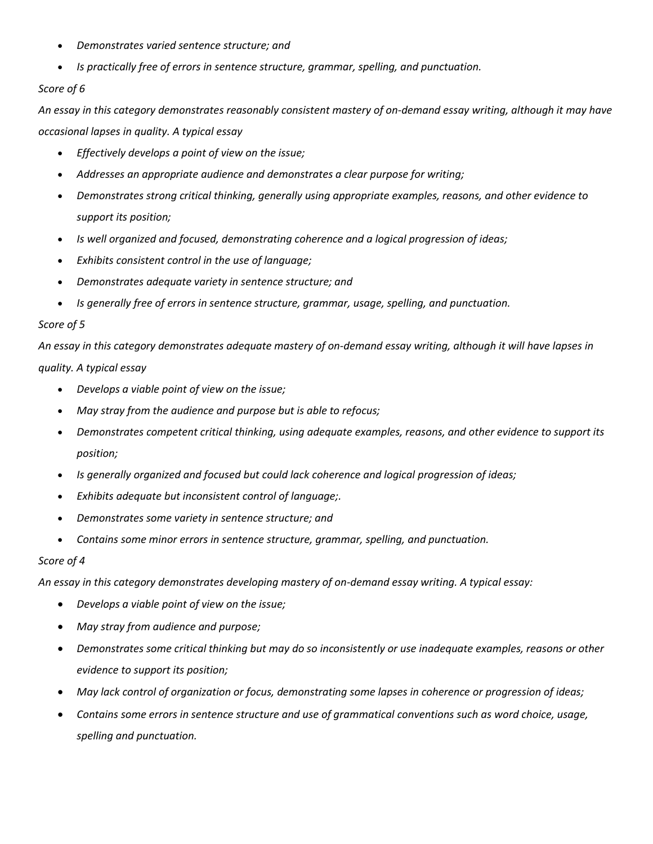- *Demonstrates varied sentence structure; and*
- *Is practically free of errors in sentence structure, grammar, spelling, and punctuation.*

## *Score of 6*

*An essay in this category demonstrates reasonably consistent mastery of on-demand essay writing, although it may have occasional lapses in quality. A typical essay*

- *Effectively develops a point of view on the issue;*
- *Addresses an appropriate audience and demonstrates a clear purpose for writing;*
- *Demonstrates strong critical thinking, generally using appropriate examples, reasons, and other evidence to support its position;*
- *Is well organized and focused, demonstrating coherence and a logical progression of ideas;*
- *Exhibits consistent control in the use of language;*
- *Demonstrates adequate variety in sentence structure; and*
- *Is generally free of errors in sentence structure, grammar, usage, spelling, and punctuation.*

## *Score of 5*

*An essay in this category demonstrates adequate mastery of on-demand essay writing, although it will have lapses in quality. A typical essay*

- *Develops a viable point of view on the issue;*
- *May stray from the audience and purpose but is able to refocus;*
- *Demonstrates competent critical thinking, using adequate examples, reasons, and other evidence to support its position;*
- *Is generally organized and focused but could lack coherence and logical progression of ideas;*
- *Exhibits adequate but inconsistent control of language;.*
- *Demonstrates some variety in sentence structure; and*
- *Contains some minor errors in sentence structure, grammar, spelling, and punctuation.*

## *Score of 4*

*An essay in this category demonstrates developing mastery of on-demand essay writing. A typical essay:*

- *Develops a viable point of view on the issue;*
- *May stray from audience and purpose;*
- *Demonstrates some critical thinking but may do so inconsistently or use inadequate examples, reasons or other evidence to support its position;*
- *May lack control of organization or focus, demonstrating some lapses in coherence or progression of ideas;*
- *Contains some errors in sentence structure and use of grammatical conventions such as word choice, usage, spelling and punctuation.*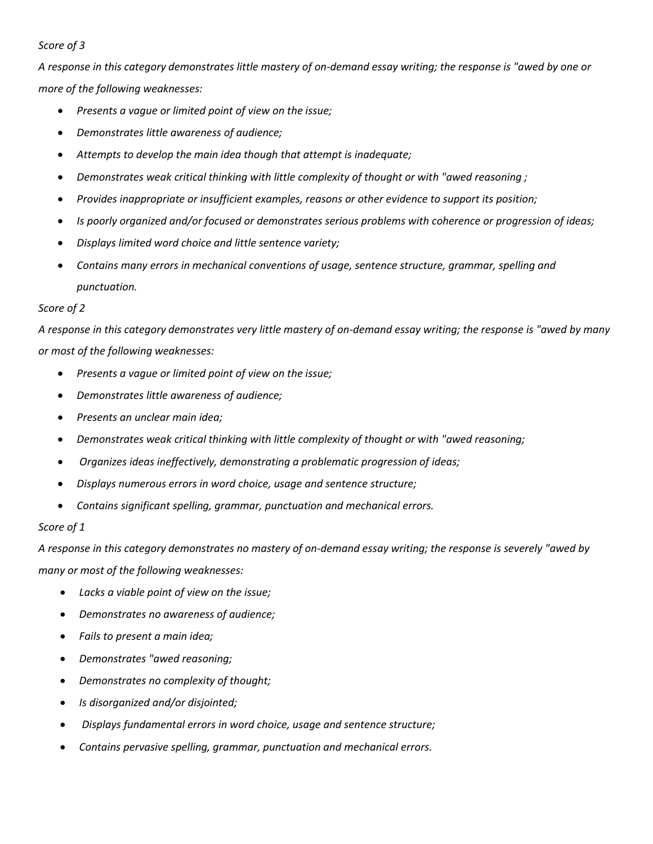## *Score of 3*

*A response in this category demonstrates little mastery of on-demand essay writing; the response is "awed by one or more of the following weaknesses:*

- *Presents a vague or limited point of view on the issue;*
- *Demonstrates little awareness of audience;*
- *Attempts to develop the main idea though that attempt is inadequate;*
- *Demonstrates weak critical thinking with little complexity of thought or with "awed reasoning ;*
- *Provides inappropriate or insufficient examples, reasons or other evidence to support its position;*
- *Is poorly organized and/or focused or demonstrates serious problems with coherence or progression of ideas;*
- *Displays limited word choice and little sentence variety;*
- *Contains many errors in mechanical conventions of usage, sentence structure, grammar, spelling and punctuation.*

## *Score of 2*

*A response in this category demonstrates very little mastery of on-demand essay writing; the response is "awed by many or most of the following weaknesses:* 

- *Presents a vague or limited point of view on the issue;*
- *Demonstrates little awareness of audience;*
- *Presents an unclear main idea;*
- *Demonstrates weak critical thinking with little complexity of thought or with "awed reasoning;*
- *Organizes ideas ineffectively, demonstrating a problematic progression of ideas;*
- *Displays numerous errors in word choice, usage and sentence structure;*
- *Contains significant spelling, grammar, punctuation and mechanical errors.*

## *Score of 1*

*A response in this category demonstrates no mastery of on-demand essay writing; the response is severely "awed by many or most of the following weaknesses:*

- *Lacks a viable point of view on the issue;*
- *Demonstrates no awareness of audience;*
- *Fails to present a main idea;*
- *Demonstrates "awed reasoning;*
- *Demonstrates no complexity of thought;*
- *Is disorganized and/or disjointed;*
- *Displays fundamental errors in word choice, usage and sentence structure;*
- *Contains pervasive spelling, grammar, punctuation and mechanical errors.*